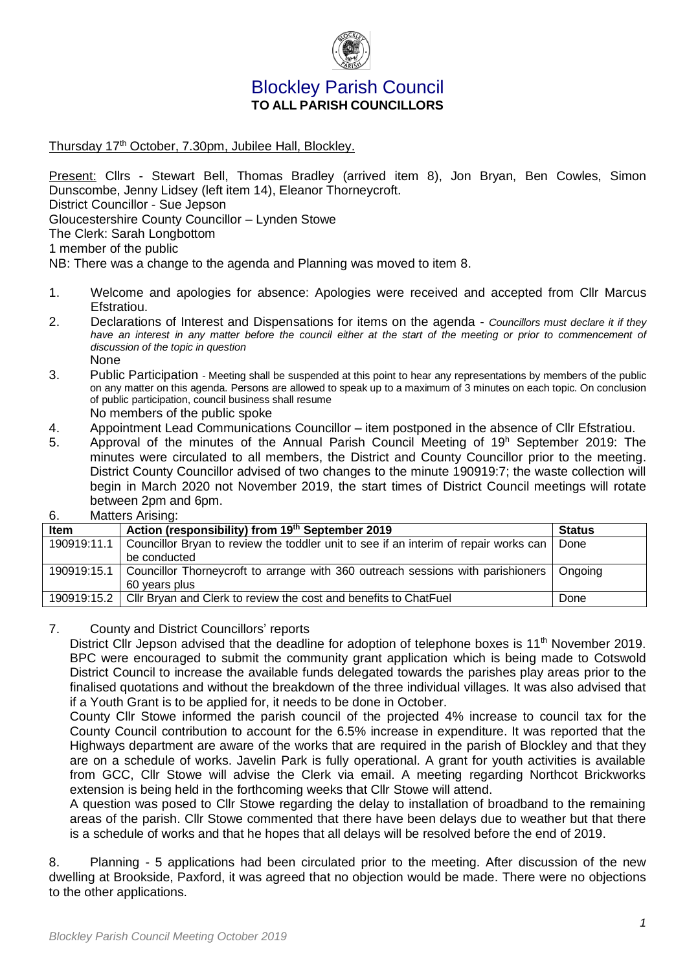

## Blockley Parish Council **TO ALL PARISH COUNCILLORS**

Thursday 17<sup>th</sup> October, 7.30pm, Jubilee Hall, Blockley.

Present: Cllrs - Stewart Bell, Thomas Bradley (arrived item 8), Jon Bryan, Ben Cowles, Simon Dunscombe, Jenny Lidsey (left item 14), Eleanor Thorneycroft. District Councillor - Sue Jepson Gloucestershire County Councillor – Lynden Stowe The Clerk: Sarah Longbottom 1 member of the public

NB: There was a change to the agenda and Planning was moved to item 8.

- 1. Welcome and apologies for absence: Apologies were received and accepted from Cllr Marcus Efstratiou.
- 2. Declarations of Interest and Dispensations for items on the agenda *Councillors must declare it if they*  have an interest in any matter before the council either at the start of the meeting or prior to commencement of *discussion of the topic in question* None
- 3. Public Participation Meeting shall be suspended at this point to hear any representations by members of the public on any matter on this agenda. Persons are allowed to speak up to a maximum of 3 minutes on each topic. On conclusion of public participation, council business shall resume No members of the public spoke
- 4. Appointment Lead Communications Councillor item postponed in the absence of Cllr Efstratiou.
- 5. Approval of the minutes of the Annual Parish Council Meeting of 19<sup>h</sup> September 2019: The minutes were circulated to all members, the District and County Councillor prior to the meeting. District County Councillor advised of two changes to the minute 190919:7; the waste collection will begin in March 2020 not November 2019, the start times of District Council meetings will rotate between 2pm and 6pm.
- 6. Matters Arising:

| <b>Item</b> | Action (responsibility) from 19th September 2019                                            | <b>Status</b> |
|-------------|---------------------------------------------------------------------------------------------|---------------|
| 190919:11.1 | Councillor Bryan to review the toddler unit to see if an interim of repair works can        | Done          |
|             | be conducted                                                                                |               |
|             | 190919:15.1 Councillor Thorneycroft to arrange with 360 outreach sessions with parishioners | Ongoing       |
|             | 60 years plus                                                                               |               |
|             | 190919:15.2   Cllr Bryan and Clerk to review the cost and benefits to ChatFuel              | Done          |

## 7. County and District Councillors' reports

District Cllr Jepson advised that the deadline for adoption of telephone boxes is 11<sup>th</sup> November 2019. BPC were encouraged to submit the community grant application which is being made to Cotswold District Council to increase the available funds delegated towards the parishes play areas prior to the finalised quotations and without the breakdown of the three individual villages. It was also advised that if a Youth Grant is to be applied for, it needs to be done in October.

County Cllr Stowe informed the parish council of the projected 4% increase to council tax for the County Council contribution to account for the 6.5% increase in expenditure. It was reported that the Highways department are aware of the works that are required in the parish of Blockley and that they are on a schedule of works. Javelin Park is fully operational. A grant for youth activities is available from GCC, Cllr Stowe will advise the Clerk via email. A meeting regarding Northcot Brickworks extension is being held in the forthcoming weeks that Cllr Stowe will attend.

A question was posed to Cllr Stowe regarding the delay to installation of broadband to the remaining areas of the parish. Cllr Stowe commented that there have been delays due to weather but that there is a schedule of works and that he hopes that all delays will be resolved before the end of 2019.

8. Planning - 5 applications had been circulated prior to the meeting. After discussion of the new dwelling at Brookside, Paxford, it was agreed that no objection would be made. There were no objections to the other applications.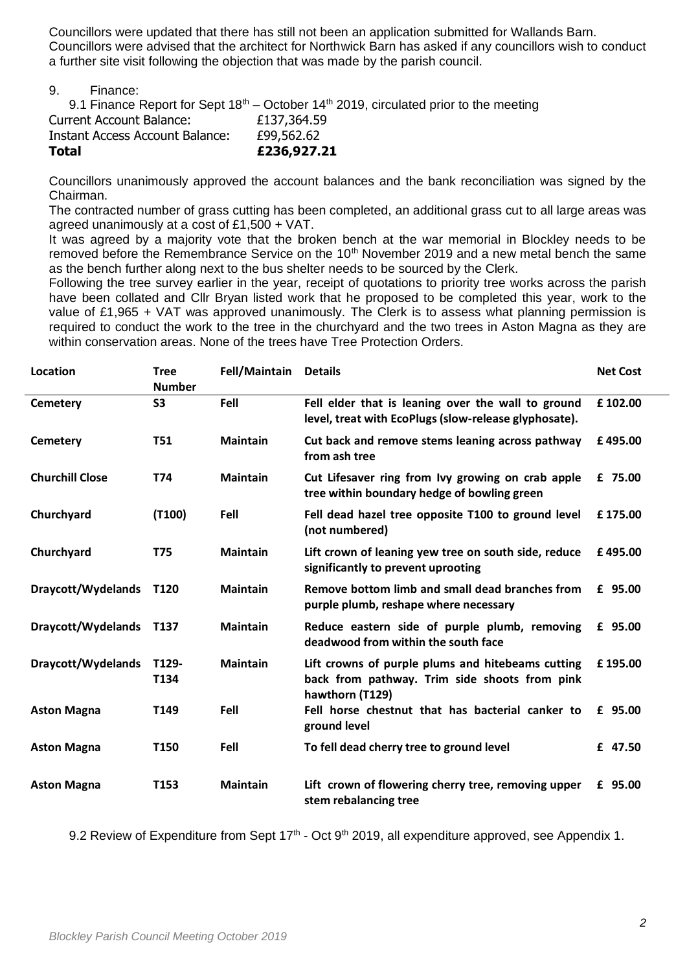Councillors were updated that there has still not been an application submitted for Wallands Barn. Councillors were advised that the architect for Northwick Barn has asked if any councillors wish to conduct a further site visit following the objection that was made by the parish council.

9. Finance:

9.1 Finance Report for Sept  $18<sup>th</sup>$  – October  $14<sup>th</sup>$  2019, circulated prior to the meeting Current Account Balance: £137,364.59 Instant Access Account Balance: £99,562.62 **Total £236,927.21**

Councillors unanimously approved the account balances and the bank reconciliation was signed by the Chairman.

The contracted number of grass cutting has been completed, an additional grass cut to all large areas was agreed unanimously at a cost of £1,500 + VAT.

It was agreed by a majority vote that the broken bench at the war memorial in Blockley needs to be removed before the Remembrance Service on the 10<sup>th</sup> November 2019 and a new metal bench the same as the bench further along next to the bus shelter needs to be sourced by the Clerk.

Following the tree survey earlier in the year, receipt of quotations to priority tree works across the parish have been collated and Cllr Bryan listed work that he proposed to be completed this year, work to the value of £1,965 + VAT was approved unanimously. The Clerk is to assess what planning permission is required to conduct the work to the tree in the churchyard and the two trees in Aston Magna as they are within conservation areas. None of the trees have Tree Protection Orders.

| Location                | <b>Tree</b>      | Fell/Maintain   | <b>Details</b>                                                                                                        | <b>Net Cost</b> |
|-------------------------|------------------|-----------------|-----------------------------------------------------------------------------------------------------------------------|-----------------|
|                         | <b>Number</b>    |                 |                                                                                                                       |                 |
| Cemetery                | <b>S3</b>        | Fell            | Fell elder that is leaning over the wall to ground<br>level, treat with EcoPlugs (slow-release glyphosate).           | £102.00         |
| <b>Cemetery</b>         | <b>T51</b>       | <b>Maintain</b> | Cut back and remove stems leaning across pathway<br>from ash tree                                                     | £495.00         |
| <b>Churchill Close</b>  | T74              | <b>Maintain</b> | Cut Lifesaver ring from Ivy growing on crab apple<br>tree within boundary hedge of bowling green                      | £ 75.00         |
| Churchyard              | (T100)           | Fell            | Fell dead hazel tree opposite T100 to ground level<br>(not numbered)                                                  | £175.00         |
| Churchyard              | <b>T75</b>       | <b>Maintain</b> | Lift crown of leaning yew tree on south side, reduce<br>significantly to prevent uprooting                            | £495.00         |
| Draycott/Wydelands T120 |                  | <b>Maintain</b> | Remove bottom limb and small dead branches from<br>purple plumb, reshape where necessary                              | £ 95.00         |
| Draycott/Wydelands      | T137             | <b>Maintain</b> | Reduce eastern side of purple plumb, removing<br>deadwood from within the south face                                  | £ 95.00         |
| Draycott/Wydelands      | T129-<br>T134    | <b>Maintain</b> | Lift crowns of purple plums and hitebeams cutting<br>back from pathway. Trim side shoots from pink<br>hawthorn (T129) | £195.00         |
| <b>Aston Magna</b>      | T <sub>149</sub> | Fell            | Fell horse chestnut that has bacterial canker to<br>ground level                                                      | £ 95.00         |
| <b>Aston Magna</b>      | T150             | Fell            | To fell dead cherry tree to ground level                                                                              | £ 47.50         |
| <b>Aston Magna</b>      | T153             | <b>Maintain</b> | Lift crown of flowering cherry tree, removing upper<br>stem rebalancing tree                                          | £ 95.00         |

9.2 Review of Expenditure from Sept 17<sup>th</sup> - Oct 9<sup>th</sup> 2019, all expenditure approved, see Appendix 1.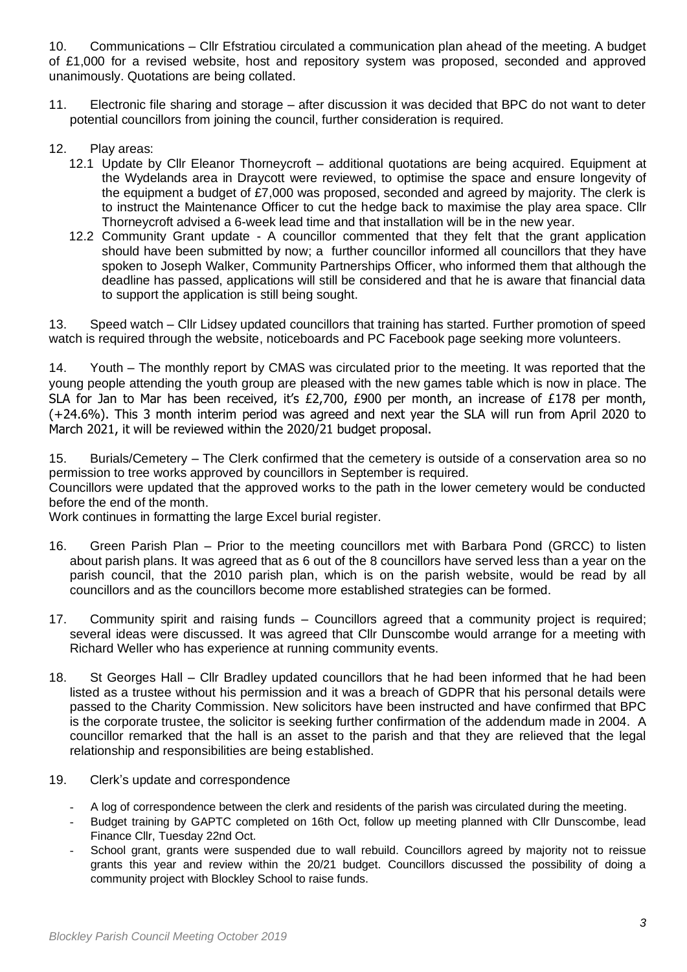10. Communications – Cllr Efstratiou circulated a communication plan ahead of the meeting. A budget of £1,000 for a revised website, host and repository system was proposed, seconded and approved unanimously. Quotations are being collated.

- 11. Electronic file sharing and storage after discussion it was decided that BPC do not want to deter potential councillors from joining the council, further consideration is required.
- 12. Play areas:
	- 12.1 Update by Cllr Eleanor Thorneycroft additional quotations are being acquired. Equipment at the Wydelands area in Draycott were reviewed, to optimise the space and ensure longevity of the equipment a budget of £7,000 was proposed, seconded and agreed by majority. The clerk is to instruct the Maintenance Officer to cut the hedge back to maximise the play area space. Cllr Thorneycroft advised a 6-week lead time and that installation will be in the new year.
	- 12.2 Community Grant update A councillor commented that they felt that the grant application should have been submitted by now; a further councillor informed all councillors that they have spoken to Joseph Walker, Community Partnerships Officer, who informed them that although the deadline has passed, applications will still be considered and that he is aware that financial data to support the application is still being sought.

13. Speed watch – Cllr Lidsey updated councillors that training has started. Further promotion of speed watch is required through the website, noticeboards and PC Facebook page seeking more volunteers.

14. Youth – The monthly report by CMAS was circulated prior to the meeting. It was reported that the young people attending the youth group are pleased with the new games table which is now in place. The SLA for Jan to Mar has been received, it's £2,700, £900 per month, an increase of £178 per month, (+24.6%). This 3 month interim period was agreed and next year the SLA will run from April 2020 to March 2021, it will be reviewed within the 2020/21 budget proposal.

15. Burials/Cemetery – The Clerk confirmed that the cemetery is outside of a conservation area so no permission to tree works approved by councillors in September is required. Councillors were updated that the approved works to the path in the lower cemetery would be conducted

before the end of the month. Work continues in formatting the large Excel burial register.

- 16. Green Parish Plan Prior to the meeting councillors met with Barbara Pond (GRCC) to listen about parish plans. It was agreed that as 6 out of the 8 councillors have served less than a year on the parish council, that the 2010 parish plan, which is on the parish website, would be read by all councillors and as the councillors become more established strategies can be formed.
- 17. Community spirit and raising funds Councillors agreed that a community project is required; several ideas were discussed. It was agreed that Cllr Dunscombe would arrange for a meeting with Richard Weller who has experience at running community events.
- 18. St Georges Hall Cllr Bradley updated councillors that he had been informed that he had been listed as a trustee without his permission and it was a breach of GDPR that his personal details were passed to the Charity Commission. New solicitors have been instructed and have confirmed that BPC is the corporate trustee, the solicitor is seeking further confirmation of the addendum made in 2004. A councillor remarked that the hall is an asset to the parish and that they are relieved that the legal relationship and responsibilities are being established.
- 19. Clerk's update and correspondence
	- A log of correspondence between the clerk and residents of the parish was circulated during the meeting.
	- Budget training by GAPTC completed on 16th Oct, follow up meeting planned with Cllr Dunscombe, lead Finance Cllr, Tuesday 22nd Oct.
	- School grant, grants were suspended due to wall rebuild. Councillors agreed by majority not to reissue grants this year and review within the 20/21 budget. Councillors discussed the possibility of doing a community project with Blockley School to raise funds.